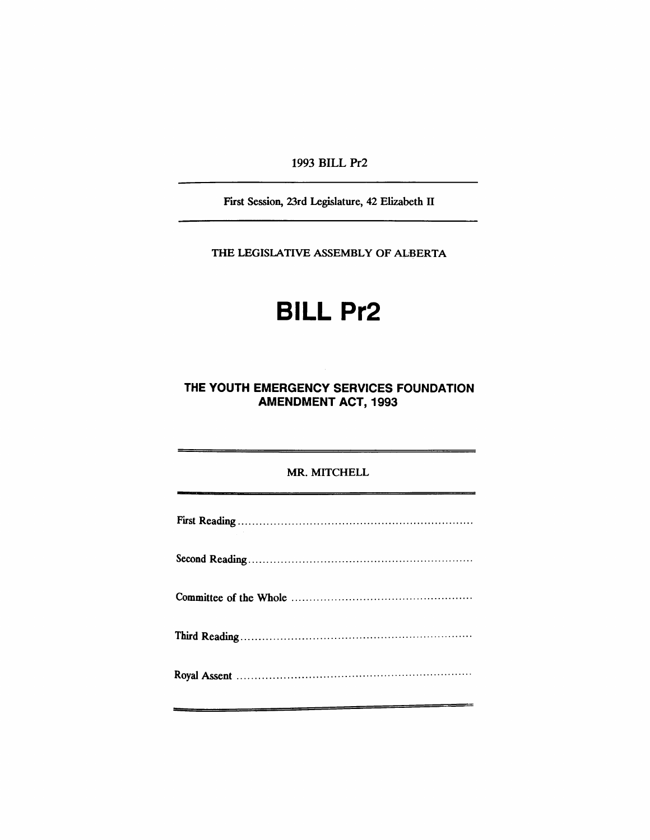1993 BILL Pr2

First Session, 23rd Legislature, 42 Elizabeth II

THE LEGISlATIVE ASSEMBLY OF ALBERTA

# **BILL Pr2**

# **THE YOUTH EMERGENCY SERVICES FOUNDATION AMENDMENT ACT, 1993**

### MR. MITCHELL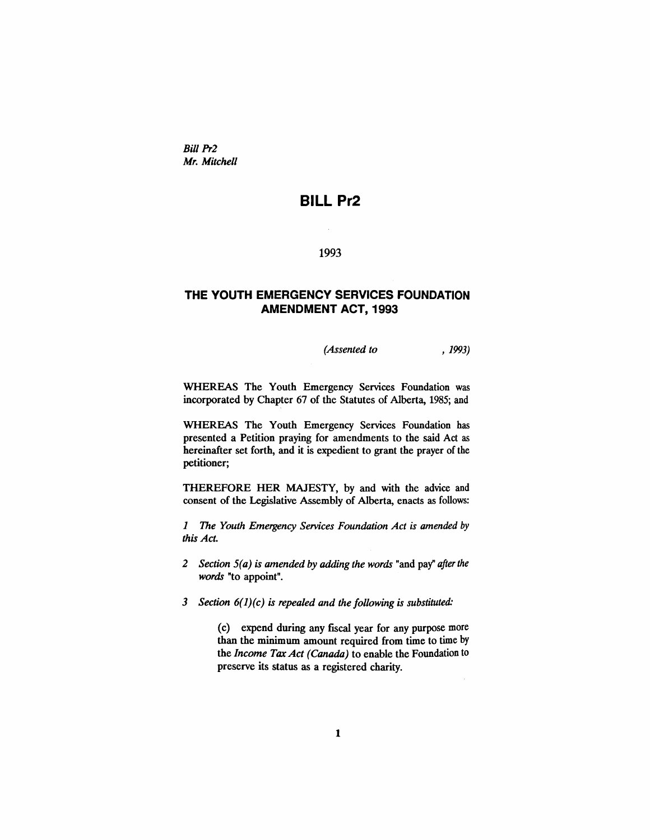*Bill Pr2 Mr. Mitchell*

# **BILL Pr2**

 $\mathcal{L}_{\mathcal{A}}$ 

1993

## **THE YOUTH EMERGENCY SERVICES FOUNDATION AMENDMENT ACT, 1993**

*(Assented to* , 1993)

WHEREAS The Youth Emergency Services Foundation was incorporated by Chapter 67 of the Statutes of Alberta, 1985; and

WHEREAS The Youth Emergency Services Foundation has presented a Petition praying for amendments to the said Act as hereinafter set forth, and it is expedient to grant the prayer of the petitioner;

THEREFORE HER MAJESTY, by and with the advice and consent of the Legislative Assembly of Alberta, enacts as follows:

*1 The Youth Emergency Services Foundation Act is amended* by *this Act.*

- *2 Section 5(a) is amended by adding the words* "and pay" *afterthe words* "to appoint".
- *3 Section* 6(1)*(c) is repealed and the following is substituted:*

(c) expend during any fiscal year for any purpose more than the minimum amount required from time to time by the *Income TaxAct (Canada)* to enable the Foundation to preserve its status as a registered charity.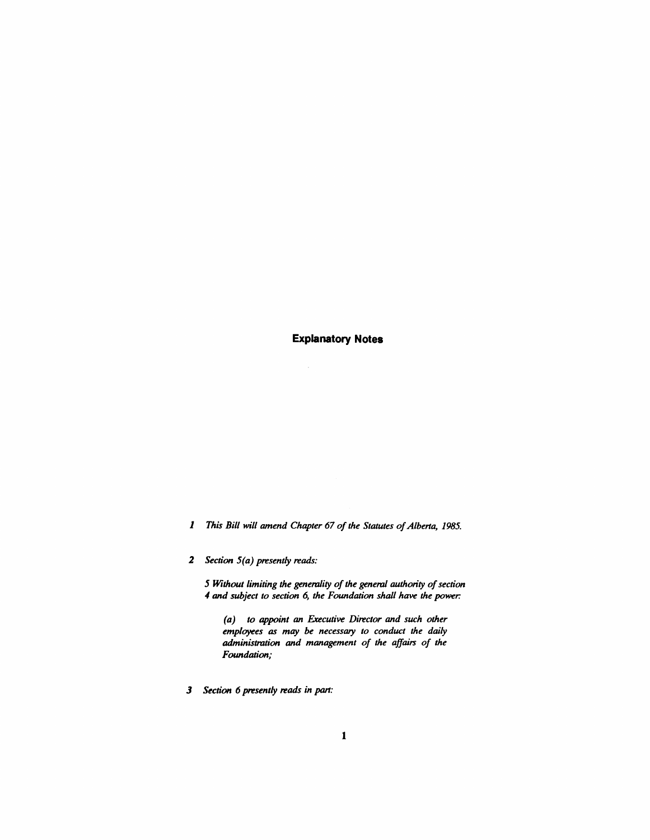**Explanatory Notes**

 $\sim$ 

*1 This Bill will amend Chapter* 67 *of the Statutes ofAlberta, 1985.*

*2 Section 5(a) presently reads:*

*5 Without limiting the generality ofthe general authority ofsection 4 and subject to section* 6, *the Foundation shall have the power:*

*(a) to appoint an Executive Director and such other employees as may be necessary to conduct the daily administration and management of the affairs of the Foundation;*

*3 Section* 6 *presently reads in* part: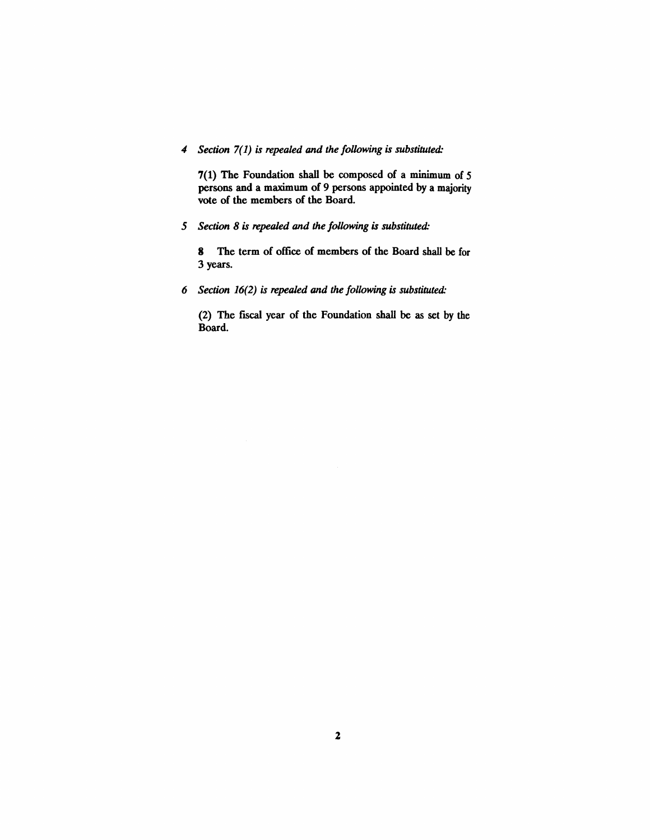*4 Section* 7(1) *is repealed and the following* is *substituted:*

7(1) The Foundation shall be composed of a minimum of 5 persons and a maximum of 9 persons appointed by a majority vote of the members of the Board.

*5 Section* 8 is *repealed and the following* is *substituted:*

8 The term of office of members of the Board shall be for 3 years.

*6 Section* 16(2) *is repealed and the following* is *substituted:*

(2) The fiscal year of the Foundation shall be as set by the Board.